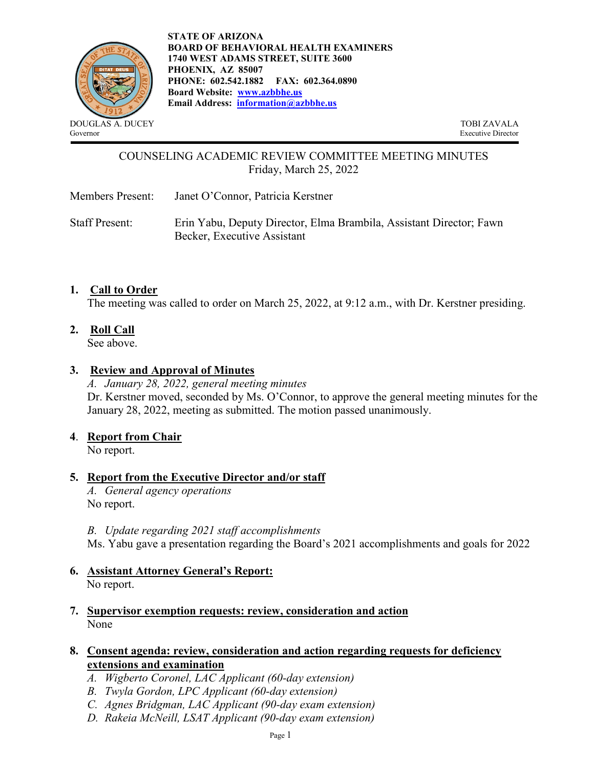

**STATE OF ARIZONA BOARD OF BEHAVIORAL HEALTH EXAMINERS 1740 WEST ADAMS STREET, SUITE 3600 PHOENIX, AZ 85007 PHONE: 602.542.1882 FAX: 602.364.0890 Board Website: [www.azbbhe.us](http://www.azbbhe.us/)  Email Address: [information@azbbhe.us](mailto:information@azbbhe.us)**

Governor Executive Director

### COUNSELING ACADEMIC REVIEW COMMITTEE MEETING MINUTES Friday, March 25, 2022

Members Present: Janet O'Connor, Patricia Kerstner

Staff Present: Erin Yabu, Deputy Director, Elma Brambila, Assistant Director; Fawn Becker, Executive Assistant

#### **1. Call to Order**

The meeting was called to order on March 25, 2022, at 9:12 a.m., with Dr. Kerstner presiding.

**2. Roll Call**

See above.

#### **3. Review and Approval of Minutes**

*A. January 28, 2022, general meeting minutes*  Dr. Kerstner moved, seconded by Ms. O'Connor, to approve the general meeting minutes for the January 28, 2022, meeting as submitted. The motion passed unanimously.

#### **4**. **Report from Chair**

No report.

### **5. Report from the Executive Director and/or staff**

*A. General agency operations*  No report.

*B. Update regarding 2021 staff accomplishments* 

Ms. Yabu gave a presentation regarding the Board's 2021 accomplishments and goals for 2022

#### **6. Assistant Attorney General's Report:**  No report.

**7. Supervisor exemption requests: review, consideration and action** None

#### **8. Consent agenda: review, consideration and action regarding requests for deficiency extensions and examination**

- *A. Wigberto Coronel, LAC Applicant (60-day extension)*
- *B. Twyla Gordon, LPC Applicant (60-day extension)*
- *C. Agnes Bridgman, LAC Applicant (90-day exam extension)*
- *D. Rakeia McNeill, LSAT Applicant (90-day exam extension)*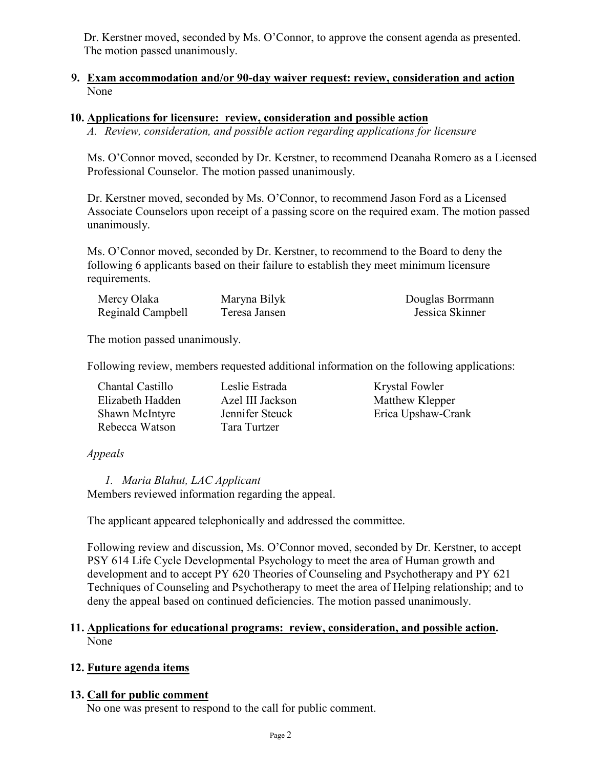Dr. Kerstner moved, seconded by Ms. O'Connor, to approve the consent agenda as presented. The motion passed unanimously.

#### **9. Exam accommodation and/or 90-day waiver request: review, consideration and action**  None

#### **10. Applications for licensure: review, consideration and possible action**

*A. Review, consideration, and possible action regarding applications for licensure* 

Ms. O'Connor moved, seconded by Dr. Kerstner, to recommend Deanaha Romero as a Licensed Professional Counselor. The motion passed unanimously.

Dr. Kerstner moved, seconded by Ms. O'Connor, to recommend Jason Ford as a Licensed Associate Counselors upon receipt of a passing score on the required exam. The motion passed unanimously.

Ms. O'Connor moved, seconded by Dr. Kerstner, to recommend to the Board to deny the following 6 applicants based on their failure to establish they meet minimum licensure requirements.

| Mercy Olaka       | Maryna Bilyk  | Douglas Borrmann |
|-------------------|---------------|------------------|
| Reginald Campbell | Teresa Jansen | Jessica Skinner  |

The motion passed unanimously.

Following review, members requested additional information on the following applications:

| Chantal Castillo | Leslie Estrada   | Krystal Fowler     |
|------------------|------------------|--------------------|
| Elizabeth Hadden | Azel III Jackson | Matthew Klepper    |
| Shawn McIntyre   | Jennifer Steuck  | Erica Upshaw-Crank |
| Rebecca Watson   | Tara Turtzer     |                    |

### *Appeals*

*1. Maria Blahut, LAC Applicant*  Members reviewed information regarding the appeal.

The applicant appeared telephonically and addressed the committee.

Following review and discussion, Ms. O'Connor moved, seconded by Dr. Kerstner, to accept PSY 614 Life Cycle Developmental Psychology to meet the area of Human growth and development and to accept PY 620 Theories of Counseling and Psychotherapy and PY 621 Techniques of Counseling and Psychotherapy to meet the area of Helping relationship; and to deny the appeal based on continued deficiencies. The motion passed unanimously.

#### **11. Applications for educational programs: review, consideration, and possible action.**  None

### **12. Future agenda items**

### **13. Call for public comment**

No one was present to respond to the call for public comment.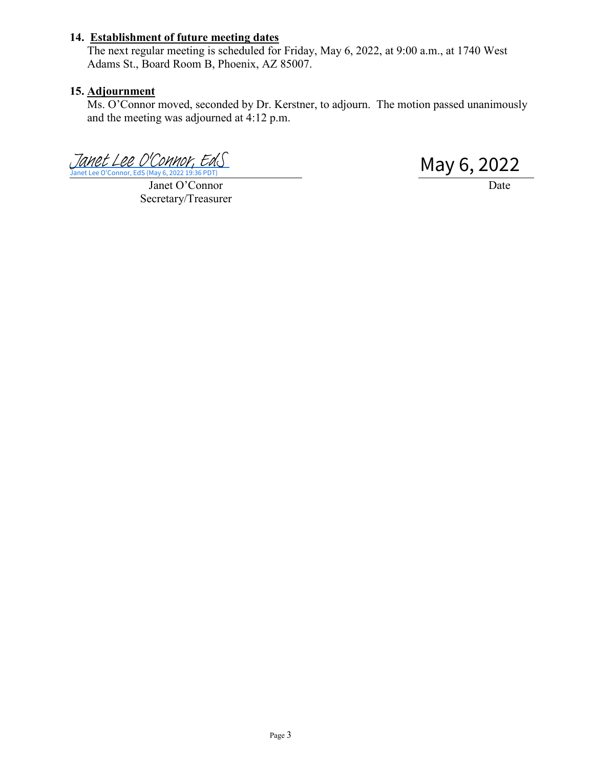## **14. Establishment of future meeting dates**

The next regular meeting is scheduled for Friday, May 6, 2022, at 9:00 a.m., at 1740 West Adams St., Board Room B, Phoenix, AZ 85007.

#### **15. Adjournment**

Ms. O'Connor moved, seconded by Dr. Kerstner, to adjourn. The motion passed unanimously and the meeting was adjourned at 4:12 p.m.

[Janet Lee O'Connor, EdS](https://azbbhe.na1.echosign.com/verifier?tx=CBJCHBCAABAAsNWJxJxVplvWNqS3hM9OraAkHY-hvQSq) (May 6, 2022 19:36 PDT)<br>Janet Lee O'Connor, Eds (May 6, 2022 19:36 PDT)

Janet O'Connor Date

Secretary/Treasurer